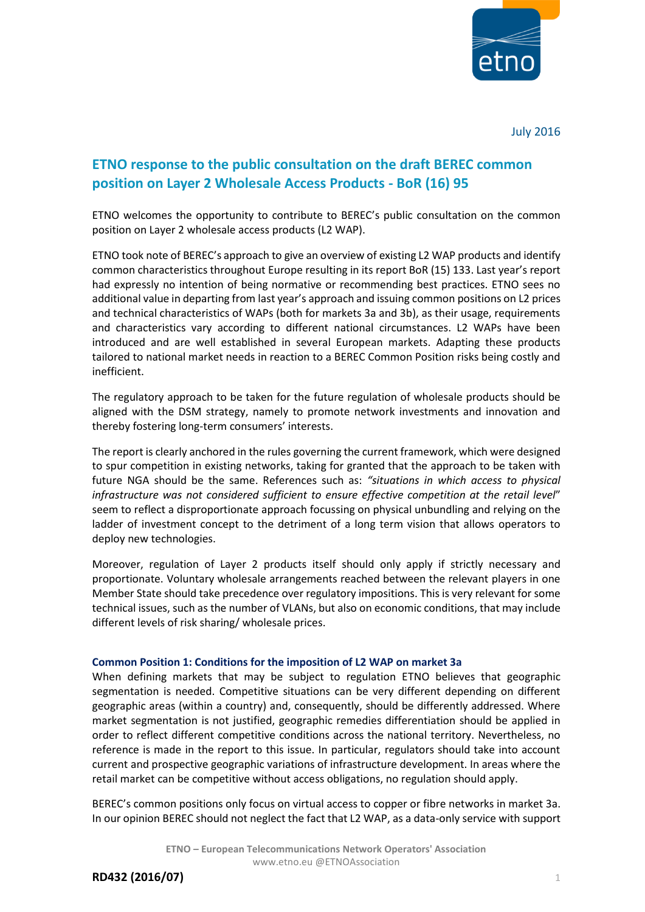

July 2016

# **ETNO response to the public consultation on the draft BEREC common position on Layer 2 Wholesale Access Products - BoR (16) 95**

ETNO welcomes the opportunity to contribute to BEREC's public consultation on the common position on Layer 2 wholesale access products (L2 WAP).

ETNO took note of BEREC's approach to give an overview of existing L2 WAP products and identify common characteristics throughout Europe resulting in its report BoR (15) 133. Last year's report had expressly no intention of being normative or recommending best practices. ETNO sees no additional value in departing from last year's approach and issuing common positions on L2 prices and technical characteristics of WAPs (both for markets 3a and 3b), as their usage, requirements and characteristics vary according to different national circumstances. L2 WAPs have been introduced and are well established in several European markets. Adapting these products tailored to national market needs in reaction to a BEREC Common Position risks being costly and inefficient.

The regulatory approach to be taken for the future regulation of wholesale products should be aligned with the DSM strategy, namely to promote network investments and innovation and thereby fostering long-term consumers' interests.

The report is clearly anchored in the rules governing the current framework, which were designed to spur competition in existing networks, taking for granted that the approach to be taken with future NGA should be the same. References such as: *"situations in which access to physical infrastructure was not considered sufficient to ensure effective competition at the retail level*" seem to reflect a disproportionate approach focussing on physical unbundling and relying on the ladder of investment concept to the detriment of a long term vision that allows operators to deploy new technologies.

Moreover, regulation of Layer 2 products itself should only apply if strictly necessary and proportionate. Voluntary wholesale arrangements reached between the relevant players in one Member State should take precedence over regulatory impositions. This is very relevant for some technical issues, such as the number of VLANs, but also on economic conditions, that may include different levels of risk sharing/ wholesale prices.

## **Common Position 1: Conditions for the imposition of L2 WAP on market 3a**

When defining markets that may be subject to regulation ETNO believes that geographic segmentation is needed. Competitive situations can be very different depending on different geographic areas (within a country) and, consequently, should be differently addressed. Where market segmentation is not justified, geographic remedies differentiation should be applied in order to reflect different competitive conditions across the national territory. Nevertheless, no reference is made in the report to this issue. In particular, regulators should take into account current and prospective geographic variations of infrastructure development. In areas where the retail market can be competitive without access obligations, no regulation should apply.

BEREC's common positions only focus on virtual access to copper or fibre networks in market 3a. In our opinion BEREC should not neglect the fact that L2 WAP, as a data-only service with support

**RD432 (2016/07)** 1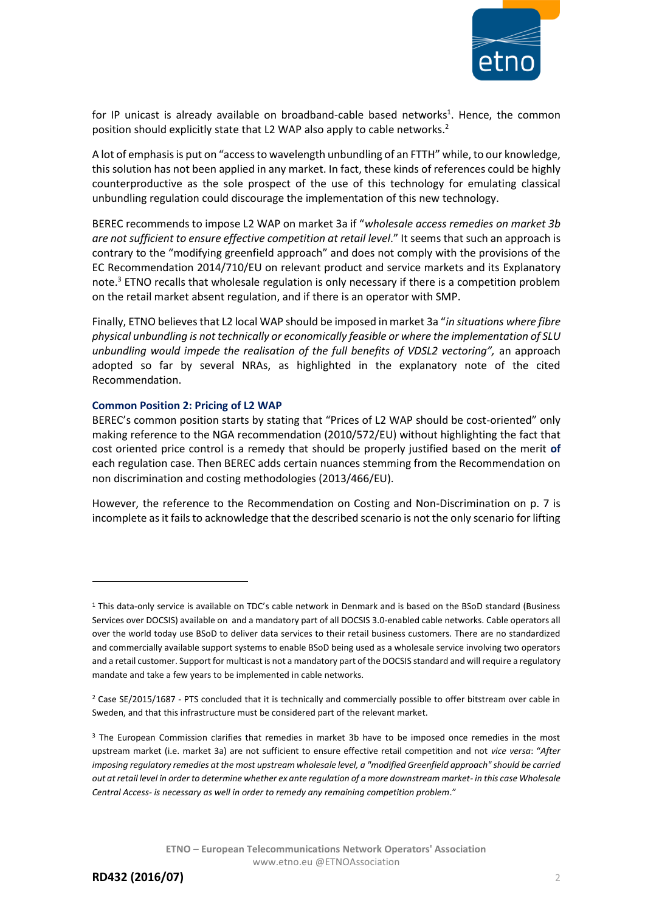

for IP unicast is already available on broadband-cable based networks<sup>1</sup>. Hence, the common position should explicitly state that L2 WAP also apply to cable networks.<sup>2</sup>

A lot of emphasis is put on "access to wavelength unbundling of an FTTH" while, to our knowledge, this solution has not been applied in any market. In fact, these kinds of references could be highly counterproductive as the sole prospect of the use of this technology for emulating classical unbundling regulation could discourage the implementation of this new technology.

BEREC recommends to impose L2 WAP on market 3a if "*wholesale access remedies on market 3b are not sufficient to ensure effective competition at retail level*." It seems that such an approach is contrary to the "modifying greenfield approach" and does not comply with the provisions of the EC Recommendation 2014/710/EU on relevant product and service markets and its Explanatory note.<sup>3</sup> ETNO recalls that wholesale regulation is only necessary if there is a competition problem on the retail market absent regulation, and if there is an operator with SMP.

Finally, ETNO believes that L2 local WAP should be imposed in market 3a "*in situations where fibre physical unbundling is not technically or economically feasible or where the implementation of SLU*  unbundling would impede the realisation of the full benefits of VDSL2 vectoring", an approach adopted so far by several NRAs, as highlighted in the explanatory note of the cited Recommendation.

## **Common Position 2: Pricing of L2 WAP**

BEREC's common position starts by stating that "Prices of L2 WAP should be cost-oriented" only making reference to the NGA recommendation (2010/572/EU) without highlighting the fact that cost oriented price control is a remedy that should be properly justified based on the merit **of**  each regulation case. Then BEREC adds certain nuances stemming from the Recommendation on non discrimination and costing methodologies (2013/466/EU).

However, the reference to the Recommendation on Costing and Non-Discrimination on p. 7 is incomplete as it fails to acknowledge that the described scenario is not the only scenario for lifting

**.** 

<sup>1</sup> This data-only service is available on TDC's cable network in Denmark and is based on the BSoD standard (Business Services over DOCSIS) available on and a mandatory part of all DOCSIS 3.0-enabled cable networks. Cable operators all over the world today use BSoD to deliver data services to their retail business customers. There are no standardized and commercially available support systems to enable BSoD being used as a wholesale service involving two operators and a retail customer. Support for multicast is not a mandatory part of the DOCSIS standard and will require a regulatory mandate and take a few years to be implemented in cable networks.

<sup>&</sup>lt;sup>2</sup> Case SE/2015/1687 - PTS concluded that it is technically and commercially possible to offer bitstream over cable in Sweden, and that this infrastructure must be considered part of the relevant market.

<sup>&</sup>lt;sup>3</sup> The European Commission clarifies that remedies in market 3b have to be imposed once remedies in the most upstream market (i.e. market 3a) are not sufficient to ensure effective retail competition and not *vice versa*: "*After imposing regulatory remedies at the most upstream wholesale level, a "modified Greenfield approach" should be carried out at retail level in order to determine whether ex ante regulation of a more downstream market- in this case Wholesale Central Access- is necessary as well in order to remedy any remaining competition problem*."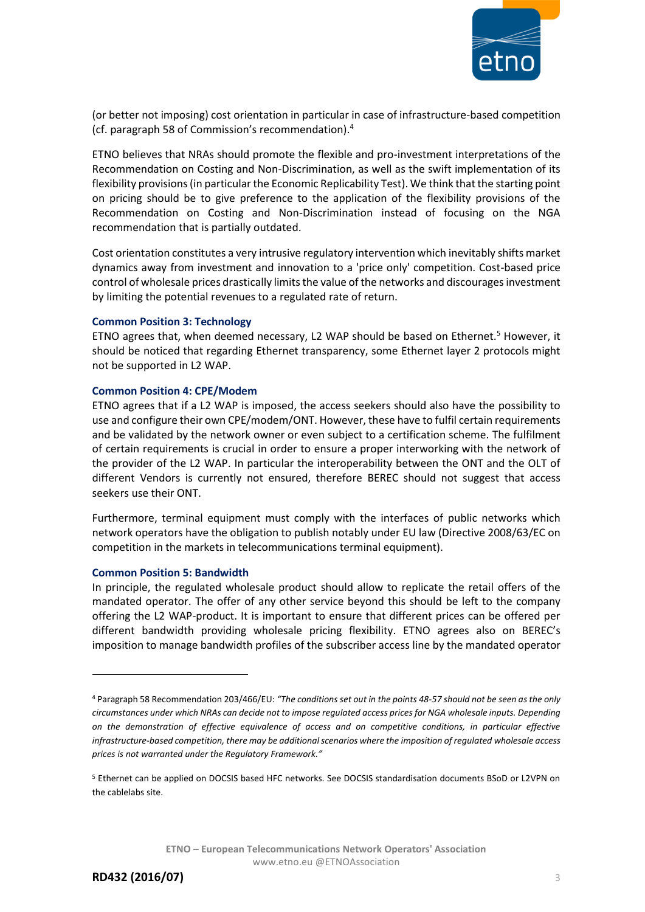

(or better not imposing) cost orientation in particular in case of infrastructure-based competition (cf. paragraph 58 of Commission's recommendation).<sup>4</sup>

ETNO believes that NRAs should promote the flexible and pro-investment interpretations of the Recommendation on Costing and Non-Discrimination, as well as the swift implementation of its flexibility provisions (in particular the Economic Replicability Test). We think that the starting point on pricing should be to give preference to the application of the flexibility provisions of the Recommendation on Costing and Non-Discrimination instead of focusing on the NGA recommendation that is partially outdated.

Cost orientation constitutes a very intrusive regulatory intervention which inevitably shifts market dynamics away from investment and innovation to a 'price only' competition. Cost-based price control of wholesale prices drastically limits the value of the networks and discourages investment by limiting the potential revenues to a regulated rate of return.

## **Common Position 3: Technology**

ETNO agrees that, when deemed necessary, L2 WAP should be based on Ethernet.<sup>5</sup> However, it should be noticed that regarding Ethernet transparency, some Ethernet layer 2 protocols might not be supported in L2 WAP.

## **Common Position 4: CPE/Modem**

ETNO agrees that if a L2 WAP is imposed, the access seekers should also have the possibility to use and configure their own CPE/modem/ONT. However, these have to fulfil certain requirements and be validated by the network owner or even subject to a certification scheme. The fulfilment of certain requirements is crucial in order to ensure a proper interworking with the network of the provider of the L2 WAP. In particular the interoperability between the ONT and the OLT of different Vendors is currently not ensured, therefore BEREC should not suggest that access seekers use their ONT.

Furthermore, terminal equipment must comply with the interfaces of public networks which network operators have the obligation to publish notably under EU law (Directive 2008/63/EC on competition in the markets in telecommunications terminal equipment).

## **Common Position 5: Bandwidth**

In principle, the regulated wholesale product should allow to replicate the retail offers of the mandated operator. The offer of any other service beyond this should be left to the company offering the L2 WAP-product. It is important to ensure that different prices can be offered per different bandwidth providing wholesale pricing flexibility. ETNO agrees also on BEREC's imposition to manage bandwidth profiles of the subscriber access line by the mandated operator

**.** 

<sup>4</sup> Paragraph 58 Recommendation 203/466/EU: *"The conditions set out in the points 48-57 should not be seen as the only circumstances under which NRAs can decide not to impose regulated access prices for NGA wholesale inputs. Depending on the demonstration of effective equivalence of access and on competitive conditions, in particular effective infrastructure-based competition, there may be additional scenarios where the imposition of regulated wholesale access prices is not warranted under the Regulatory Framework."*

<sup>5</sup> Ethernet can be applied on DOCSIS based HFC networks. See DOCSIS standardisation documents BSoD or L2VPN on the cablelabs site.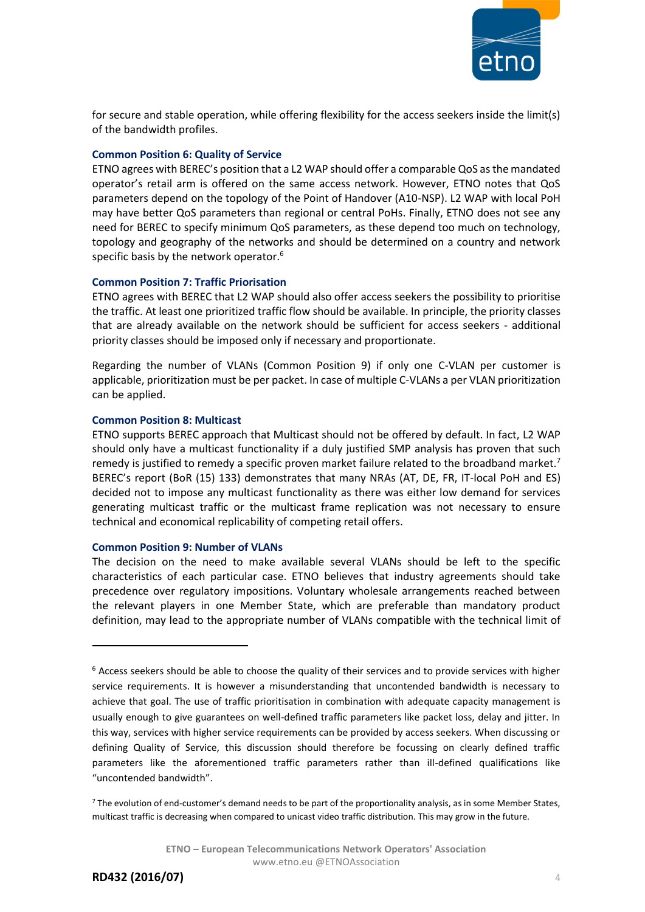

for secure and stable operation, while offering flexibility for the access seekers inside the limit(s) of the bandwidth profiles.

# **Common Position 6: Quality of Service**

ETNO agrees with BEREC's position that a L2 WAP should offer a comparable QoS as the mandated operator's retail arm is offered on the same access network. However, ETNO notes that QoS parameters depend on the topology of the Point of Handover (A10-NSP). L2 WAP with local PoH may have better QoS parameters than regional or central PoHs. Finally, ETNO does not see any need for BEREC to specify minimum QoS parameters, as these depend too much on technology, topology and geography of the networks and should be determined on a country and network specific basis by the network operator.<sup>6</sup>

# **Common Position 7: Traffic Priorisation**

ETNO agrees with BEREC that L2 WAP should also offer access seekers the possibility to prioritise the traffic. At least one prioritized traffic flow should be available. In principle, the priority classes that are already available on the network should be sufficient for access seekers - additional priority classes should be imposed only if necessary and proportionate.

Regarding the number of VLANs (Common Position 9) if only one C-VLAN per customer is applicable, prioritization must be per packet. In case of multiple C-VLANs a per VLAN prioritization can be applied.

# **Common Position 8: Multicast**

ETNO supports BEREC approach that Multicast should not be offered by default. In fact, L2 WAP should only have a multicast functionality if a duly justified SMP analysis has proven that such remedy is justified to remedy a specific proven market failure related to the broadband market.<sup>7</sup> BEREC's report (BoR (15) 133) demonstrates that many NRAs (AT, DE, FR, IT-local PoH and ES) decided not to impose any multicast functionality as there was either low demand for services generating multicast traffic or the multicast frame replication was not necessary to ensure technical and economical replicability of competing retail offers.

# **Common Position 9: Number of VLANs**

The decision on the need to make available several VLANs should be left to the specific characteristics of each particular case. ETNO believes that industry agreements should take precedence over regulatory impositions. Voluntary wholesale arrangements reached between the relevant players in one Member State, which are preferable than mandatory product definition, may lead to the appropriate number of VLANs compatible with the technical limit of

1

 $6$  Access seekers should be able to choose the quality of their services and to provide services with higher service requirements. It is however a misunderstanding that uncontended bandwidth is necessary to achieve that goal. The use of traffic prioritisation in combination with adequate capacity management is usually enough to give guarantees on well-defined traffic parameters like packet loss, delay and jitter. In this way, services with higher service requirements can be provided by access seekers. When discussing or defining Quality of Service, this discussion should therefore be focussing on clearly defined traffic parameters like the aforementioned traffic parameters rather than ill-defined qualifications like "uncontended bandwidth".

<sup>7</sup> The evolution of end-customer's demand needs to be part of the proportionality analysis, as in some Member States, multicast traffic is decreasing when compared to unicast video traffic distribution. This may grow in the future.